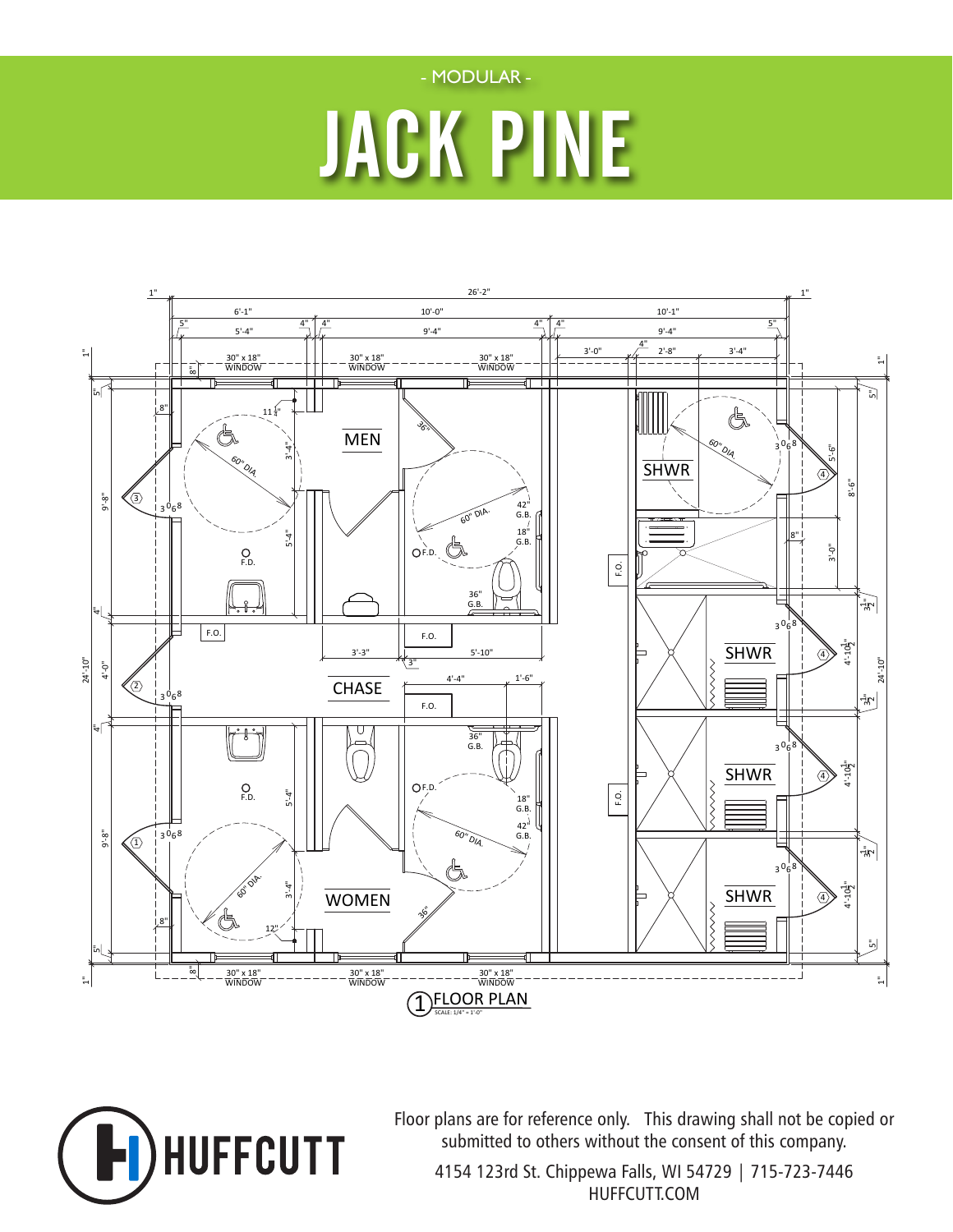

# JACK PINE





Floor plans are for reference only. This drawing shall not be copied or submitted to others without the consent of this company.

4154 123rd St. Chippewa Falls, WI 54729 | 715-723-7446 HUFFCUTT.COM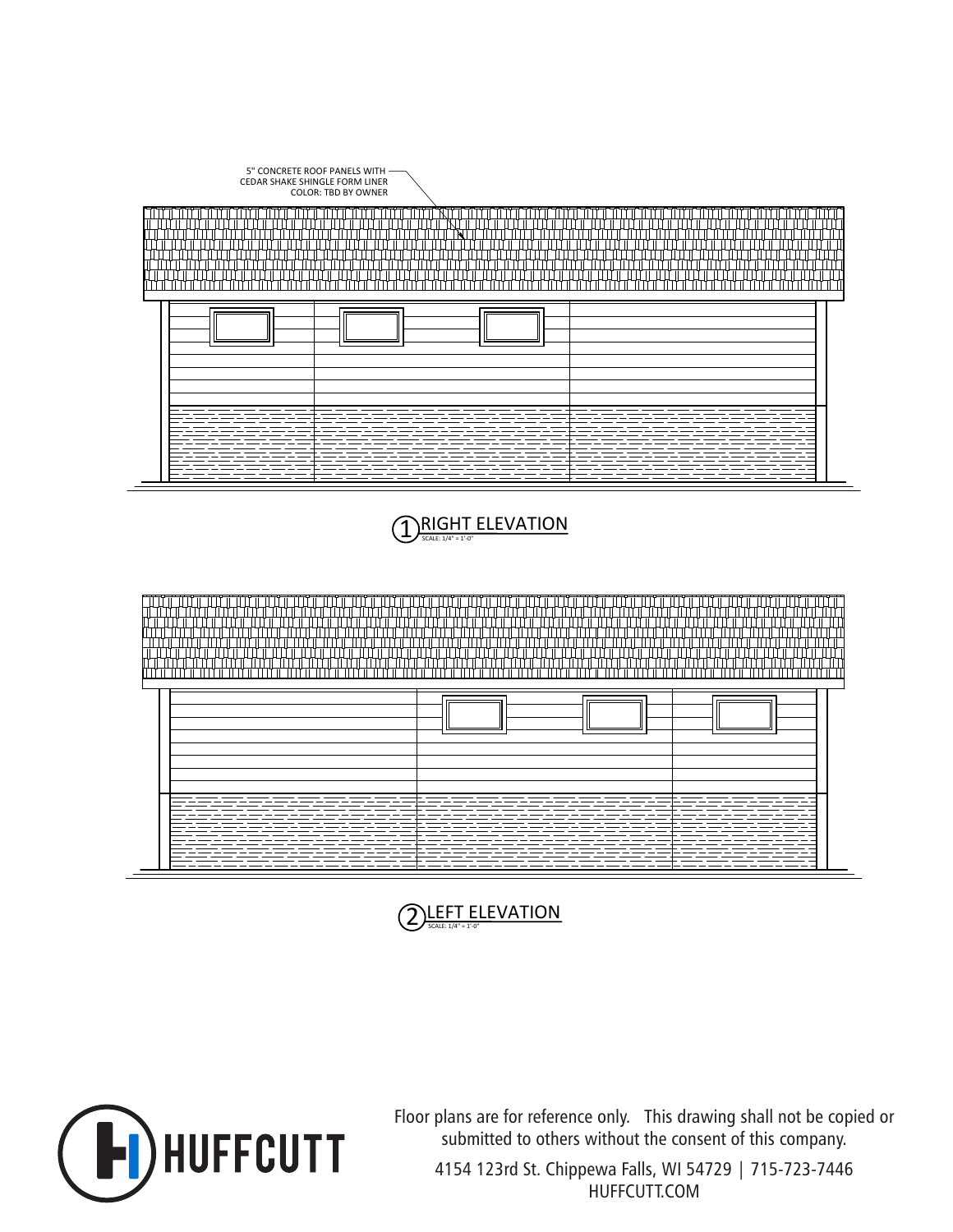





Floor plans are for reference only. This drawing shall not be copied or submitted to others without the consent of this company.

4154 123rd St. Chippewa Falls, WI 54729 | 715-723-7446 HUFFCUTT.COM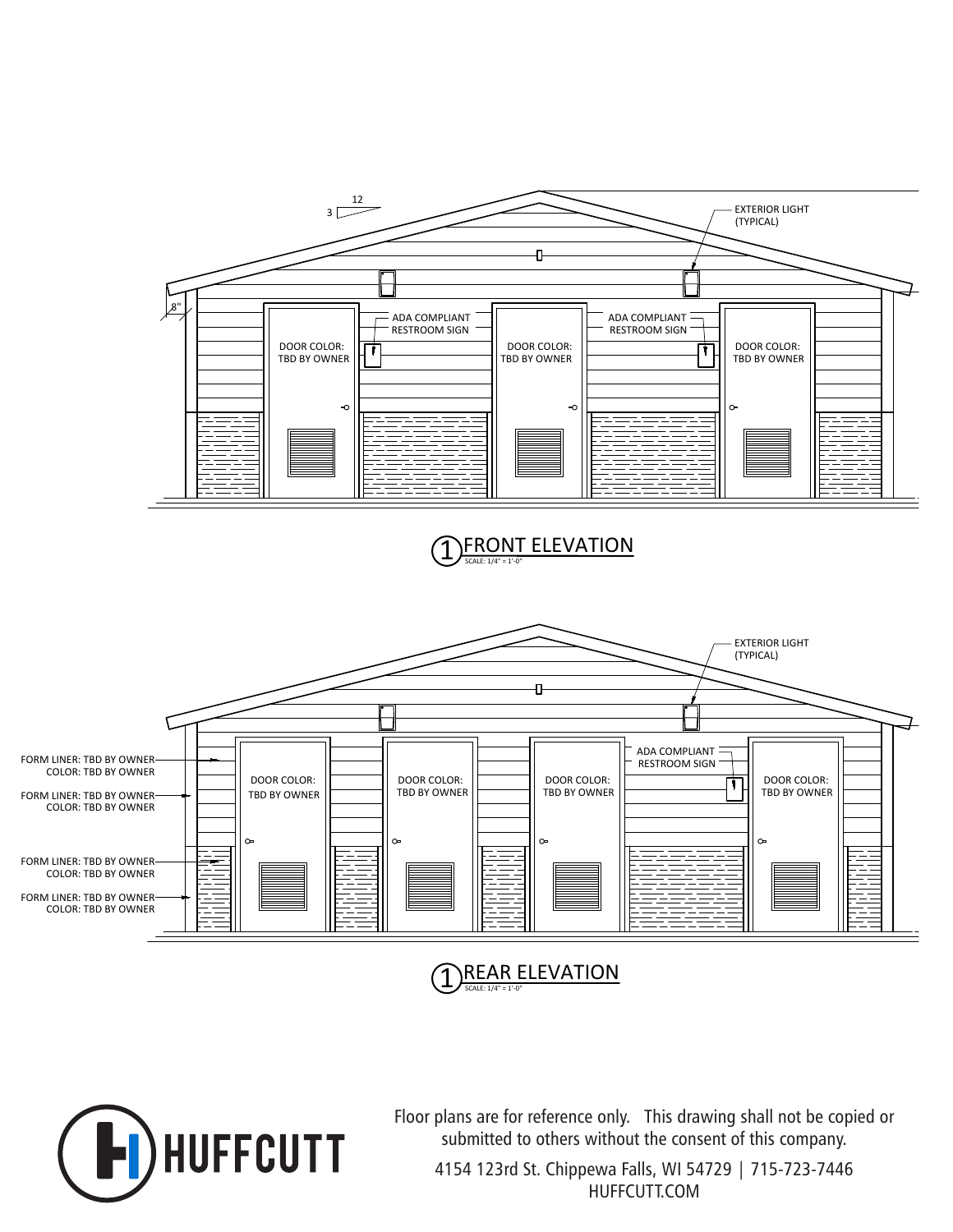

SCALE: 1/4" = 1'-0" **REAR ELEVATION** 



Floor plans are for reference only. This drawing shall not be copied or submitted to others without the consent of this company.

4154 123rd St. Chippewa Falls, WI 54729 | 715-723-7446 HUFFCUTT.COM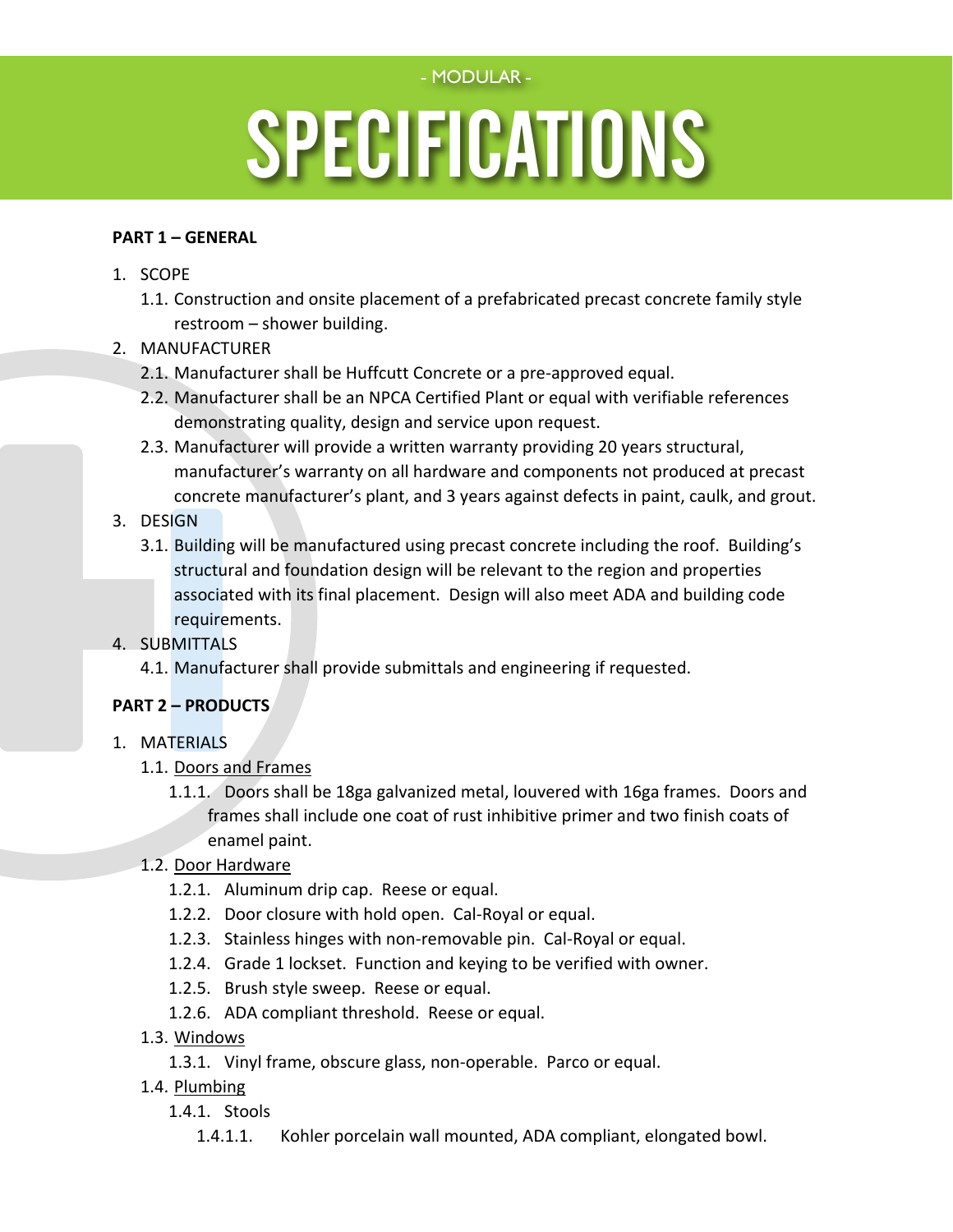#### - MODULAR -

# Specifications for Family Style Restrictions for Family Style Restrictions and S SPECIFICATIONS

#### **PART 1 – GENERAL**

- 1. SCOPE
	- 1.1. Construction and onsite placement of a prefabricated precast concrete family style restroom – shower building.
- 2. MANUFACTURER
	- 2.1. Manufacturer shall be Huffcutt Concrete or a pre-approved equal.
	- 2.2. Manufacturer shall be an NPCA Certified Plant or equal with verifiable references demonstrating quality, design and service upon request.
	- 2.3. Manufacturer will provide a written warranty providing 20 years structural, manufacturer's warranty on all hardware and components not produced at precast concrete manufacturer's plant, and 3 years against defects in paint, caulk, and grout.

### 3. DESIGN

3.1. Building will be manufactured using precast concrete including the roof. Building's structural and foundation design will be relevant to the region and properties associated with its final placement. Design will also meet ADA and building code requirements.

#### 4. SUBMITTALS

4.1. Manufacturer shall provide submittals and engineering if requested.

## **PART 2 – PRODUCTS**

- 1. MATERIALS
	- 1.1. Doors and Frames
		- 1.1.1. Doors shall be 18ga galvanized metal, louvered with 16ga frames. Doors and frames shall include one coat of rust inhibitive primer and two finish coats of enamel paint.
	- 1.2. Door Hardware
		- 1.2.1. Aluminum drip cap. Reese or equal.
		- 1.2.2. Door closure with hold open. Cal-Royal or equal.
		- 1.2.3. Stainless hinges with non-removable pin. Cal-Royal or equal.
		- 1.2.4. Grade 1 lockset. Function and keying to be verified with owner.
		- 1.2.5. Brush style sweep. Reese or equal.
		- 1.2.6. ADA compliant threshold. Reese or equal.
	- 1.3. Windows
		- 1.3.1. Vinyl frame, obscure glass, non-operable. Parco or equal.
	- 1.4. Plumbing
		- 1.4.1. Stools
			- 1.4.1.1. Kohler porcelain wall mounted, ADA compliant, elongated bowl.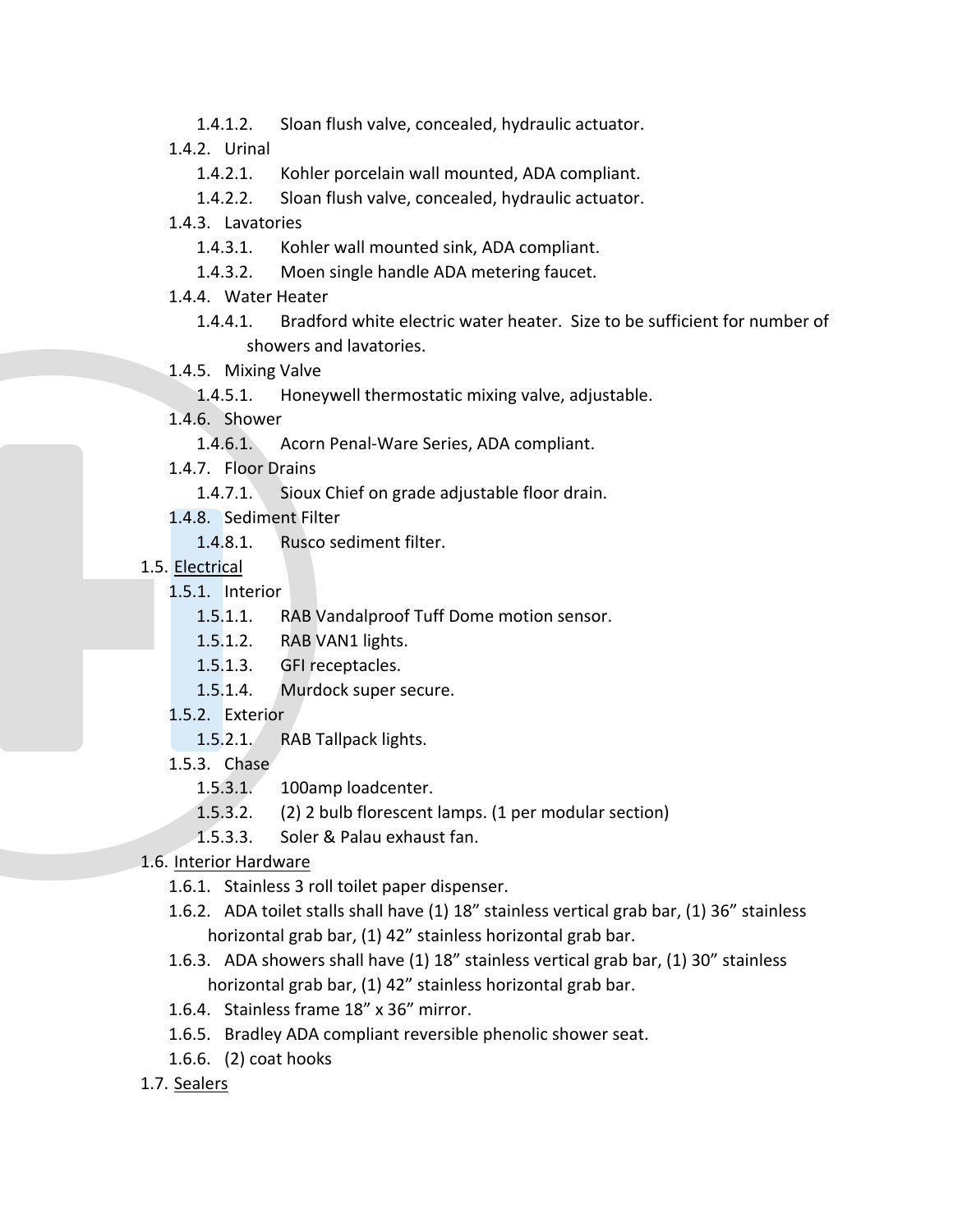- 1.4.1.2. Sloan flush valve, concealed, hydraulic actuator.<br>1.4.2. Urinal<br>1.4.2.1. Kohler porcelain wall mounted, ADA compliant.
	- 1.4.2. Urinal
		- 1.4.2.1. Kohler porcelain wall mounted, ADA compliant.
		- 1.4.2.2. Sloan flush valve, concealed, hydraulic actuator.
	- 1.4.3. Lavatories
		- 1.4.3.1. Kohler wall mounted sink, ADA compliant.
		- 1.4.3.2. Moen single handle ADA metering faucet.
	- 1.4.4. Water Heater
		- 1.4.4.1. Bradford white electric water heater. Size to be sufficient for number of showers and lavatories.
	- 1.4.5. Mixing Valve
		- 1.4.5.1. Honeywell thermostatic mixing valve, adjustable.
	- 1.4.6. Shower
		- 1.4.6.1. Acorn Penal-Ware Series, ADA compliant.
	- 1.4.7. Floor Drains
		- 1.4.7.1. Sioux Chief on grade adjustable floor drain.
	- 1.4.8. Sediment Filter
		- 1.4.8.1. Rusco sediment filter.
	- 1.5. Electrical
		- 1.5.1. Interior
			- 1.5.1.1. RAB Vandalproof Tuff Dome motion sensor.
			- 1.5.1.2. RAB VAN1 lights.
			- 1.5.1.3. GFI receptacles.
			- 1.5.1.4. Murdock super secure.
		- 1.5.2. Exterior
			- 1.5.2.1. RAB Tallpack lights.
		- 1.5.3. Chase
			- 1.5.3.1. 100amp loadcenter.
			- 1.5.3.2. (2) 2 bulb florescent lamps. (1 per modular section)
			- 1.5.3.3. Soler & Palau exhaust fan.
	- 1.6. Interior Hardware
		- 1.6.1. Stainless 3 roll toilet paper dispenser.
		- 1.6.2. ADA toilet stalls shall have (1) 18" stainless vertical grab bar, (1) 36" stainless horizontal grab bar, (1) 42" stainless horizontal grab bar.
		- 1.6.3. ADA showers shall have (1) 18" stainless vertical grab bar, (1) 30" stainless horizontal grab bar, (1) 42" stainless horizontal grab bar.
		- 1.6.4. Stainless frame 18" x 36" mirror.
		- 1.6.5. Bradley ADA compliant reversible phenolic shower seat.
		- 1.6.6. (2) coat hooks
	- 1.7. Sealers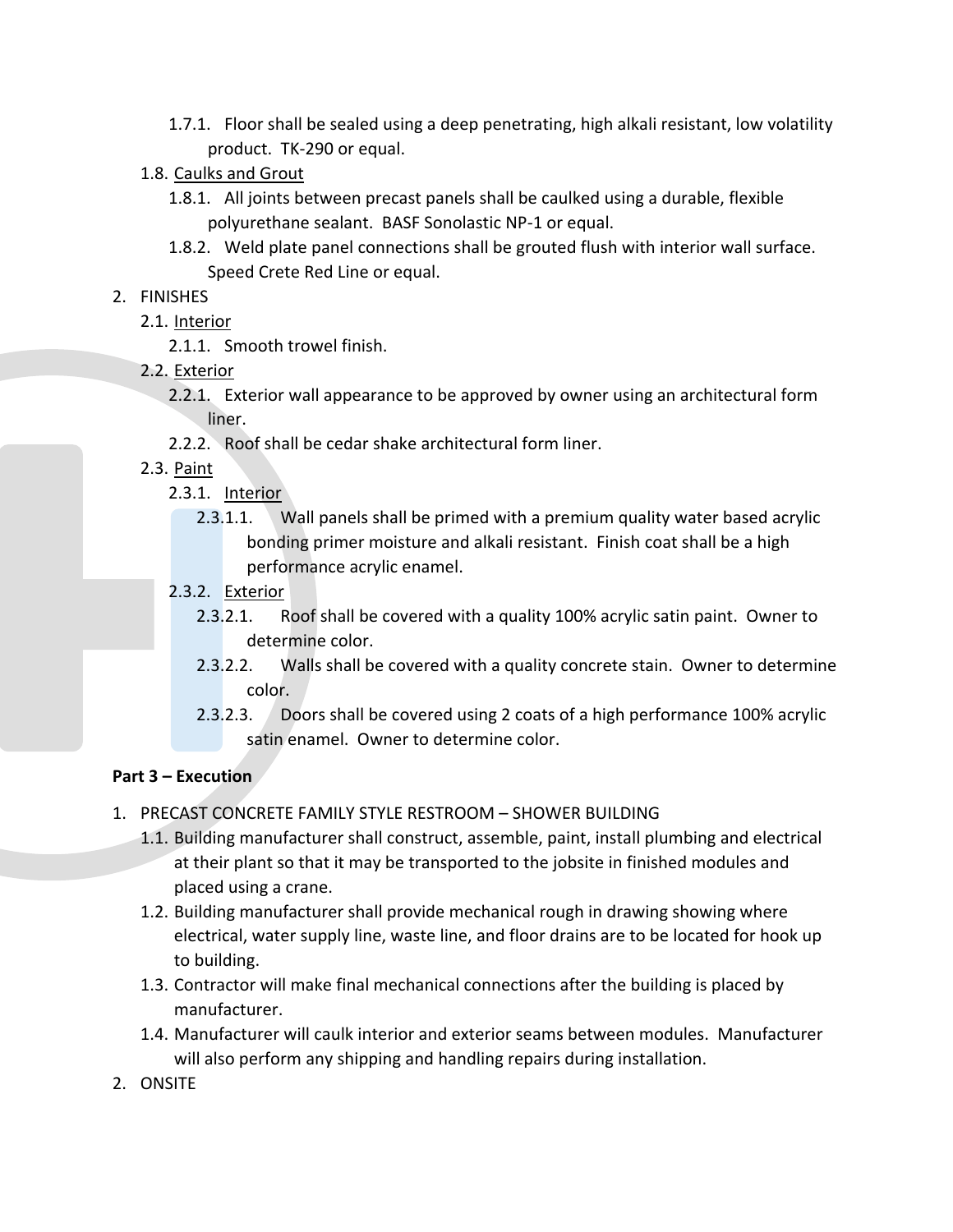- 1.7.1. Floor shall be sealed using a deep penetrating, high alkali resistant, low volatility product. TK-290 or equal.
- 1.8. Caulks and Grout
	- 1.8.1. All joints between precast panels shall be caulked using a durable, flexible polyurethane sealant. BASF Sonolastic NP-1 or equal.
	- 1.8.2. Weld plate panel connections shall be grouted flush with interior wall surface. Speed Crete Red Line or equal.

#### 2. FINISHES

- 2.1. Interior
	- 2.1.1. Smooth trowel finish.
- 2.2. Exterior
	- 2.2.1. Exterior wall appearance to be approved by owner using an architectural form liner.
	- 2.2.2. Roof shall be cedar shake architectural form liner.
- 2.3. Paint
	- 2.3.1. Interior
		- 2.3.1.1. Wall panels shall be primed with a premium quality water based acrylic bonding primer moisture and alkali resistant. Finish coat shall be a high performance acrylic enamel.
	- 2.3.2. Exterior
		- 2.3.2.1. Roof shall be covered with a quality 100% acrylic satin paint. Owner to determine color.
		- 2.3.2.2. Walls shall be covered with a quality concrete stain. Owner to determine color.
		- 2.3.2.3. Doors shall be covered using 2 coats of a high performance 100% acrylic satin enamel. Owner to determine color.

#### **Part 3 – Execution**

- 1. PRECAST CONCRETE FAMILY STYLE RESTROOM SHOWER BUILDING
	- 1.1. Building manufacturer shall construct, assemble, paint, install plumbing and electrical at their plant so that it may be transported to the jobsite in finished modules and placed using a crane.
	- 1.2. Building manufacturer shall provide mechanical rough in drawing showing where electrical, water supply line, waste line, and floor drains are to be located for hook up to building.
	- 1.3. Contractor will make final mechanical connections after the building is placed by manufacturer.
	- 1.4. Manufacturer will caulk interior and exterior seams between modules. Manufacturer will also perform any shipping and handling repairs during installation.
- 2. ONSITE